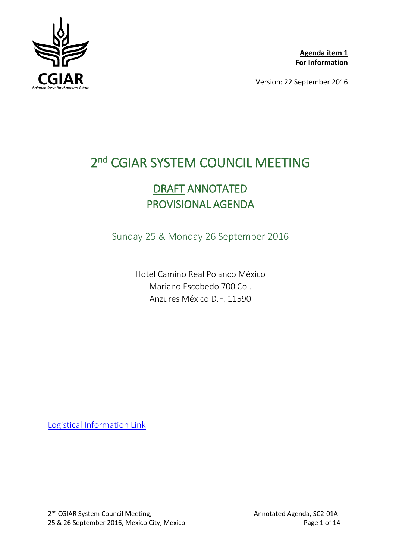

**Agenda item 1 For Information**

Version: 22 September 2016

# 2<sup>nd</sup> CGIAR SYSTEM COUNCIL MEETING

# DRAFT ANNOTATED PROVISIONAL AGENDA

Sunday 25 & Monday 26 September 2016

Hotel Camino Real Polanco México Mariano Escobedo 700 Col. Anzures México D.F. 11590

[Logistical Information Link](http://cgiarweb.s3.amazonaws.com/wp-content/uploads/2016/09/SC2-DocA_Logistic-Information.pdf)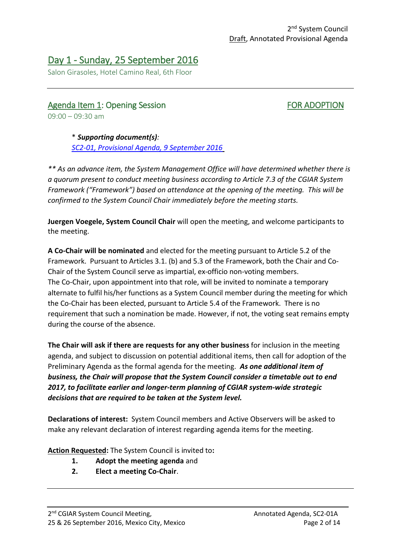# Day 1 - Sunday, 25 September 2016

Salon Girasoles, Hotel Camino Real, 6th Floor

# Agenda Item 1: Opening Session FOR ADOPTION  $09:00 - 09:30$  am

\* *Supporting document(s): [SC2-01, Provisional Agenda, 9 September 2016](http://cgiarweb.s3.amazonaws.com/wp-content/uploads/2016/09/SC2-01_Provisional-Agenda_25-26Sept20161.pdf)*

*\*\* As an advance item, the System Management Office will have determined whether there is a quorum present to conduct meeting business according to Article 7.3 of the CGIAR System Framework ("Framework") based on attendance at the opening of the meeting. This will be confirmed to the System Council Chair immediately before the meeting starts.*

**Juergen Voegele, System Council Chair** will open the meeting, and welcome participants to the meeting.

**A Co-Chair will be nominated** and elected for the meeting pursuant to Article 5.2 of the Framework. Pursuant to Articles 3.1. (b) and 5.3 of the Framework, both the Chair and Co-Chair of the System Council serve as impartial, ex-officio non-voting members. The Co-Chair, upon appointment into that role, will be invited to nominate a temporary alternate to fulfil his/her functions as a System Council member during the meeting for which the Co-Chair has been elected, pursuant to Article 5.4 of the Framework. There is no requirement that such a nomination be made. However, if not, the voting seat remains empty during the course of the absence.

**The Chair will ask if there are requests for any other business** for inclusion in the meeting agenda, and subject to discussion on potential additional items, then call for adoption of the Preliminary Agenda as the formal agenda for the meeting. *As one additional item of business, the Chair will propose that the System Council consider a timetable out to end 2017, to facilitate earlier and longer-term planning of CGIAR system-wide strategic decisions that are required to be taken at the System level.*

**Declarations of interest:** System Council members and Active Observers will be asked to make any relevant declaration of interest regarding agenda items for the meeting.

**Action Requested:** The System Council is invited to**:**

- **1. Adopt the meeting agenda** and
- **2. Elect a meeting Co-Chair**.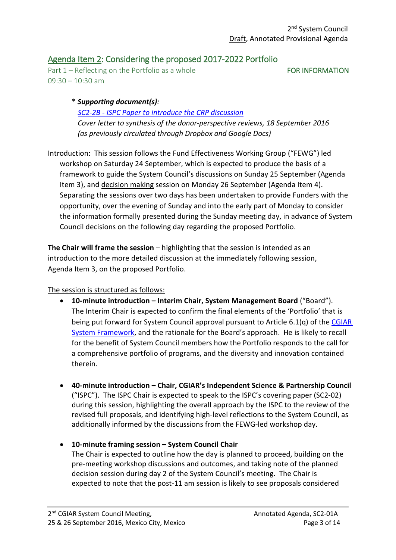# Agenda Item 2: Considering the proposed 2017-2022 Portfolio

Part  $1 -$  Reflecting on the Portfolio as a whole  $FOR INFORMATION$  $09:30 - 10:30$  am

## \* *Supporting document(s): SC2-2B - [ISPC Paper to introduce the CRP discussion](http://cgiarweb.s3.amazonaws.com/wp-content/uploads/2016/09/SC2-02B_ISPC-paper-to-Introduce-CRP-discussion.pdf) Cover letter to synthesis of the donor-perspective reviews, 18 September 2016 (as previously circulated through Dropbox and Google Docs)*

Introduction: This session follows the Fund Effectiveness Working Group ("FEWG") led workshop on Saturday 24 September, which is expected to produce the basis of a framework to guide the System Council's discussions on Sunday 25 September (Agenda Item 3), and decision making session on Monday 26 September (Agenda Item 4). Separating the sessions over two days has been undertaken to provide Funders with the opportunity, over the evening of Sunday and into the early part of Monday to consider the information formally presented during the Sunday meeting day, in advance of System Council decisions on the following day regarding the proposed Portfolio.

**The Chair will frame the session** – highlighting that the session is intended as an introduction to the more detailed discussion at the immediately following session, Agenda Item 3, on the proposed Portfolio.

### The session is structured as follows:

- **10-minute introduction – Interim Chair, System Management Board** ("Board"). The Interim Chair is expected to confirm the final elements of the 'Portfolio' that is being put forward for System Council approval pursuant to Article  $6.1(q)$  of the CGIAR [System Framework,](http://library.cgiar.org/bitstream/handle/10947/4371/CGIAR%20System%20Framework%20-%20WEB.pdf?sequence=1) and the rationale for the Board's approach. He is likely to recall for the benefit of System Council members how the Portfolio responds to the call for a comprehensive portfolio of programs, and the diversity and innovation contained therein.
- **40-minute introduction – Chair, CGIAR's Independent Science & Partnership Council** ("ISPC"). The ISPC Chair is expected to speak to the ISPC's covering paper (SC2-02) during this session, highlighting the overall approach by the ISPC to the review of the revised full proposals, and identifying high-level reflections to the System Council, as additionally informed by the discussions from the FEWG-led workshop day.
- **10-minute framing session – System Council Chair** The Chair is expected to outline how the day is planned to proceed, building on the pre-meeting workshop discussions and outcomes, and taking note of the planned decision session during day 2 of the System Council's meeting. The Chair is expected to note that the post-11 am session is likely to see proposals considered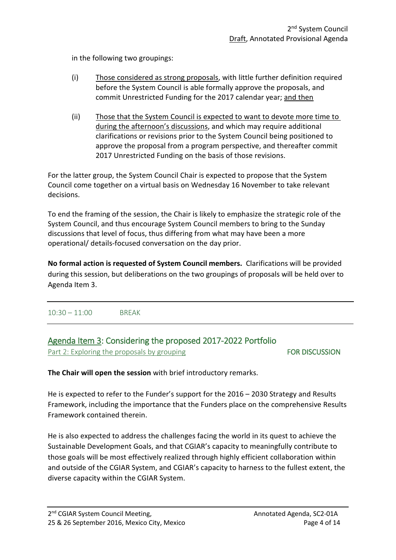in the following two groupings:

- (i) Those considered as strong proposals, with little further definition required before the System Council is able formally approve the proposals, and commit Unrestricted Funding for the 2017 calendar year; and then
- (ii) Those that the System Council is expected to want to devote more time to during the afternoon's discussions, and which may require additional clarifications or revisions prior to the System Council being positioned to approve the proposal from a program perspective, and thereafter commit 2017 Unrestricted Funding on the basis of those revisions.

For the latter group, the System Council Chair is expected to propose that the System Council come together on a virtual basis on Wednesday 16 November to take relevant decisions.

To end the framing of the session, the Chair is likely to emphasize the strategic role of the System Council, and thus encourage System Council members to bring to the Sunday discussions that level of focus, thus differing from what may have been a more operational/ details-focused conversation on the day prior.

**No formal action is requested of System Council members.** Clarifications will be provided during this session, but deliberations on the two groupings of proposals will be held over to Agenda Item 3.

10:30 – 11:00 BREAK

# Agenda Item 3: Considering the proposed 2017-2022 Portfolio Part 2: Exploring the proposals by grouping FOR DISCUSSION

**The Chair will open the session** with brief introductory remarks.

He is expected to refer to the Funder's support for the 2016 – 2030 Strategy and Results Framework, including the importance that the Funders place on the comprehensive Results Framework contained therein.

He is also expected to address the challenges facing the world in its quest to achieve the Sustainable Development Goals, and that CGIAR's capacity to meaningfully contribute to those goals will be most effectively realized through highly efficient collaboration within and outside of the CGIAR System, and CGIAR's capacity to harness to the fullest extent, the diverse capacity within the CGIAR System.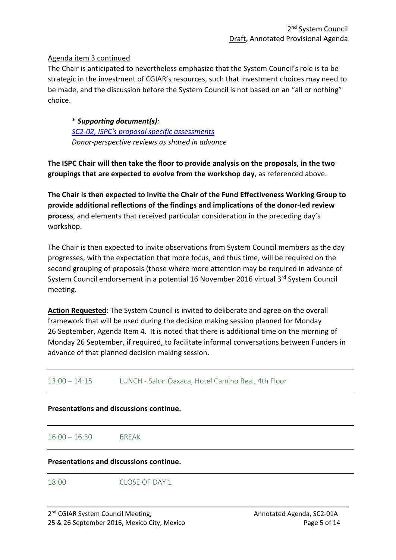### Agenda item 3 continued

The Chair is anticipated to nevertheless emphasize that the System Council's role is to be strategic in the investment of CGIAR's resources, such that investment choices may need to be made, and the discussion before the System Council is not based on an "all or nothing" choice.

\* *Supporting document(s): [SC2-02, ISPC's proposal specific assessments](http://cgiarweb.s3.amazonaws.com/wp-content/uploads/2016/09/SC2-02_ISPC-Assessment-RevisedFullProposals_14Sept20161.pdf) Donor-perspective reviews as shared in advance*

**The ISPC Chair will then take the floor to provide analysis on the proposals, in the two groupings that are expected to evolve from the workshop day**, as referenced above.

**The Chair is then expected to invite the Chair of the Fund Effectiveness Working Group to provide additional reflections of the findings and implications of the donor-led review process**, and elements that received particular consideration in the preceding day's workshop.

The Chair is then expected to invite observations from System Council members as the day progresses, with the expectation that more focus, and thus time, will be required on the second grouping of proposals (those where more attention may be required in advance of System Council endorsement in a potential 16 November 2016 virtual 3rd System Council meeting.

**Action Requested:** The System Council is invited to deliberate and agree on the overall framework that will be used during the decision making session planned for Monday 26 September, Agenda Item 4. It is noted that there is additional time on the morning of Monday 26 September, if required, to facilitate informal conversations between Funders in advance of that planned decision making session.

13:00 – 14:15 LUNCH - Salon Oaxaca, Hotel Camino Real, 4th Floor

### **Presentations and discussions continue.**

16:00 – 16:30 BREAK

### **Presentations and discussions continue.**

18:00 CLOSE OF DAY 1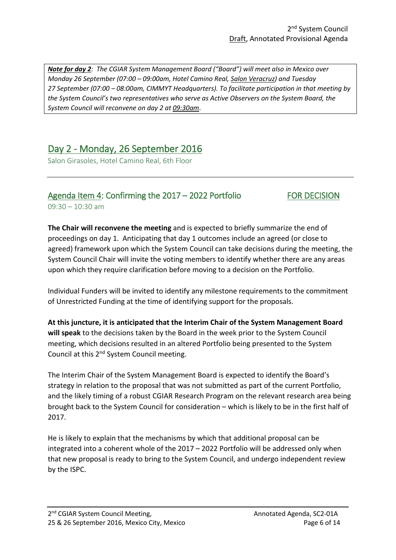*Note for day 2: The CGIAR System Management Board ("Board") will meet also in Mexico over Monday 26 September (07:00 – 09:00am, Hotel Camino Real, Salon Veracruz) and Tuesday 27 September (07:00 – 08:00am, CIMMYT Headquarters). To facilitate participation in that meeting by the System Council's two representatives who serve as Active Observers on the System Board, the System Council will reconvene on day 2 at 09:30am*.

# Day 2 - Monday, 26 September 2016

Salon Girasoles, Hotel Camino Real, 6th Floor

## Agenda Item 4: Confirming the 2017 – 2022 Portfolio FOR DECISION 09:30 – 10:30 am

**The Chair will reconvene the meeting** and is expected to briefly summarize the end of proceedings on day 1. Anticipating that day 1 outcomes include an agreed (or close to agreed) framework upon which the System Council can take decisions during the meeting, the System Council Chair will invite the voting members to identify whether there are any areas upon which they require clarification before moving to a decision on the Portfolio.

Individual Funders will be invited to identify any milestone requirements to the commitment of Unrestricted Funding at the time of identifying support for the proposals.

**At this juncture, it is anticipated that the Interim Chair of the System Management Board will speak** to the decisions taken by the Board in the week prior to the System Council meeting, which decisions resulted in an altered Portfolio being presented to the System Council at this 2nd System Council meeting.

The Interim Chair of the System Management Board is expected to identify the Board's strategy in relation to the proposal that was not submitted as part of the current Portfolio, and the likely timing of a robust CGIAR Research Program on the relevant research area being brought back to the System Council for consideration – which is likely to be in the first half of 2017.

He is likely to explain that the mechanisms by which that additional proposal can be integrated into a coherent whole of the 2017 – 2022 Portfolio will be addressed only when that new proposal is ready to bring to the System Council, and undergo independent review by the ISPC.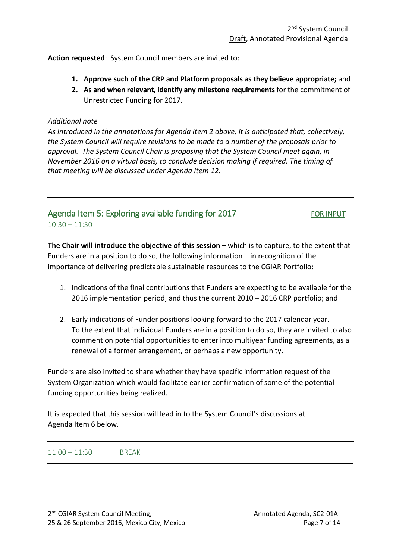**Action requested**: System Council members are invited to:

- **1. Approve such of the CRP and Platform proposals as they believe appropriate;** and
- **2. As and when relevant, identify any milestone requirements** for the commitment of Unrestricted Funding for 2017.

### *Additional note*

*As introduced in the annotations for Agenda Item 2 above, it is anticipated that, collectively, the System Council will require revisions to be made to a number of the proposals prior to approval. The System Council Chair is proposing that the System Council meet again, in November 2016 on a virtual basis, to conclude decision making if required. The timing of that meeting will be discussed under Agenda Item 12.* 

## Agenda Item 5: Exploring available funding for 2017 FOR INPUT  $10:30 - 11:30$

**The Chair will introduce the objective of this session –** which is to capture, to the extent that Funders are in a position to do so, the following information – in recognition of the importance of delivering predictable sustainable resources to the CGIAR Portfolio:

- 1. Indications of the final contributions that Funders are expecting to be available for the 2016 implementation period, and thus the current 2010 – 2016 CRP portfolio; and
- 2. Early indications of Funder positions looking forward to the 2017 calendar year. To the extent that individual Funders are in a position to do so, they are invited to also comment on potential opportunities to enter into multiyear funding agreements, as a renewal of a former arrangement, or perhaps a new opportunity.

Funders are also invited to share whether they have specific information request of the System Organization which would facilitate earlier confirmation of some of the potential funding opportunities being realized.

It is expected that this session will lead in to the System Council's discussions at Agenda Item 6 below.

11:00 – 11:30 BREAK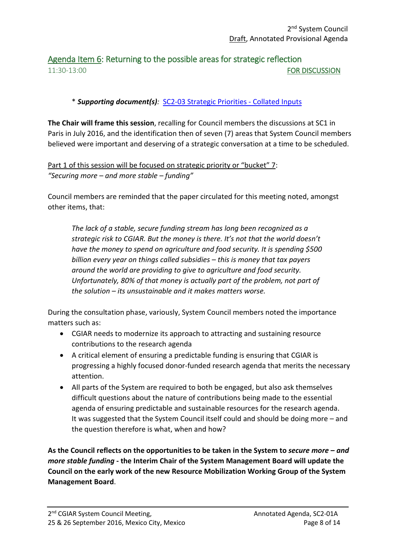# Agenda Item 6: Returning to the possible areas for strategic reflection 11:30-13:00 FOR DISCUSSION

# \* *Supporting document(s):* [SC2-03 Strategic Priorities -](http://cgiarweb.s3.amazonaws.com/wp-content/uploads/2016/09/SC2-03_SC-StrategicReflections_Collated-Inputs.pdf) Collated Inputs

**The Chair will frame this session**, recalling for Council members the discussions at SC1 in Paris in July 2016, and the identification then of seven (7) areas that System Council members believed were important and deserving of a strategic conversation at a time to be scheduled.

Part 1 of this session will be focused on strategic priority or "bucket" 7: *"Securing more – and more stable – funding"*

Council members are reminded that the paper circulated for this meeting noted, amongst other items, that:

*The lack of a stable, secure funding stream has long been recognized as a strategic risk to CGIAR. But the money is there. It's not that the world doesn't have the money to spend on agriculture and food security. It is spending \$500 billion every year on things called subsidies – this is money that tax payers around the world are providing to give to agriculture and food security. Unfortunately, 80% of that money is actually part of the problem, not part of the solution – its unsustainable and it makes matters worse.*

During the consultation phase, variously, System Council members noted the importance matters such as:

- CGIAR needs to modernize its approach to attracting and sustaining resource contributions to the research agenda
- A critical element of ensuring a predictable funding is ensuring that CGIAR is progressing a highly focused donor-funded research agenda that merits the necessary attention.
- All parts of the System are required to both be engaged, but also ask themselves difficult questions about the nature of contributions being made to the essential agenda of ensuring predictable and sustainable resources for the research agenda. It was suggested that the System Council itself could and should be doing more – and the question therefore is what, when and how?

**As the Council reflects on the opportunities to be taken in the System to** *secure more – and more stable funding* **- the Interim Chair of the System Management Board will update the Council on the early work of the new Resource Mobilization Working Group of the System Management Board**.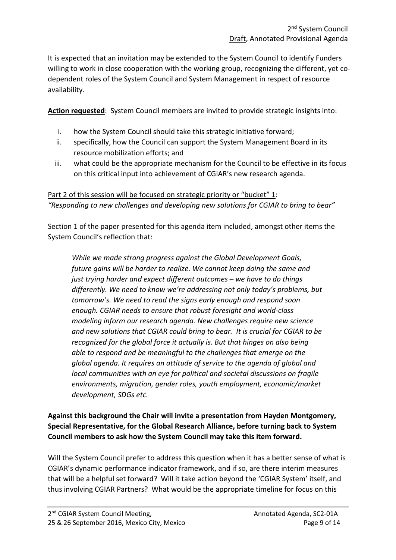It is expected that an invitation may be extended to the System Council to identify Funders willing to work in close cooperation with the working group, recognizing the different, yet codependent roles of the System Council and System Management in respect of resource availability.

**Action requested**: System Council members are invited to provide strategic insights into:

- i. how the System Council should take this strategic initiative forward;
- ii. specifically, how the Council can support the System Management Board in its resource mobilization efforts; and
- iii. what could be the appropriate mechanism for the Council to be effective in its focus on this critical input into achievement of CGIAR's new research agenda.

Part 2 of this session will be focused on strategic priority or "bucket" 1: *"Responding to new challenges and developing new solutions for CGIAR to bring to bear"*

Section 1 of the paper presented for this agenda item included, amongst other items the System Council's reflection that:

*While we made strong progress against the Global Development Goals, future gains will be harder to realize. We cannot keep doing the same and just trying harder and expect different outcomes – we have to do things differently. We need to know we're addressing not only today's problems, but tomorrow's. We need to read the signs early enough and respond soon enough. CGIAR needs to ensure that robust foresight and world-class modeling inform our research agenda. New challenges require new science and new solutions that CGIAR could bring to bear. It is crucial for CGIAR to be recognized for the global force it actually is. But that hinges on also being able to respond and be meaningful to the challenges that emerge on the global agenda. It requires an attitude of service to the agenda of global and local communities with an eye for political and societal discussions on fragile environments, migration, gender roles, youth employment, economic/market development, SDGs etc.*

**Against this background the Chair will invite a presentation from Hayden Montgomery, Special Representative, for the Global Research Alliance, before turning back to System Council members to ask how the System Council may take this item forward.**

Will the System Council prefer to address this question when it has a better sense of what is CGIAR's dynamic performance indicator framework, and if so, are there interim measures that will be a helpful set forward? Will it take action beyond the 'CGIAR System' itself, and thus involving CGIAR Partners? What would be the appropriate timeline for focus on this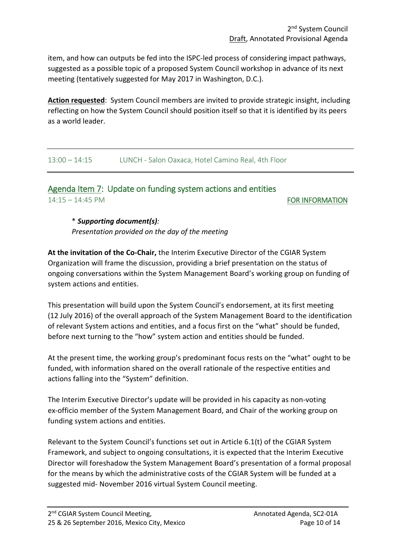item, and how can outputs be fed into the ISPC-led process of considering impact pathways, suggested as a possible topic of a proposed System Council workshop in advance of its next meeting (tentatively suggested for May 2017 in Washington, D.C.).

**Action requested**: System Council members are invited to provide strategic insight, including reflecting on how the System Council should position itself so that it is identified by its peers as a world leader.

13:00 – 14:15 LUNCH - Salon Oaxaca, Hotel Camino Real, 4th Floor

Agenda Item 7: Update on funding system actions and entities 14:15 – 14:45 PM **FOR INFORMATION** 

# \* *Supporting document(s):*

*Presentation provided on the day of the meeting* 

**At the invitation of the Co-Chair,** the Interim Executive Director of the CGIAR System Organization will frame the discussion, providing a brief presentation on the status of ongoing conversations within the System Management Board's working group on funding of system actions and entities.

This presentation will build upon the System Council's endorsement, at its first meeting (12 July 2016) of the overall approach of the System Management Board to the identification of relevant System actions and entities, and a focus first on the "what" should be funded, before next turning to the "how" system action and entities should be funded.

At the present time, the working group's predominant focus rests on the "what" ought to be funded, with information shared on the overall rationale of the respective entities and actions falling into the "System" definition.

The Interim Executive Director's update will be provided in his capacity as non-voting ex-officio member of the System Management Board, and Chair of the working group on funding system actions and entities.

Relevant to the System Council's functions set out in Article 6.1(t) of the CGIAR System Framework, and subject to ongoing consultations, it is expected that the Interim Executive Director will foreshadow the System Management Board's presentation of a formal proposal for the means by which the administrative costs of the CGIAR System will be funded at a suggested mid- November 2016 virtual System Council meeting.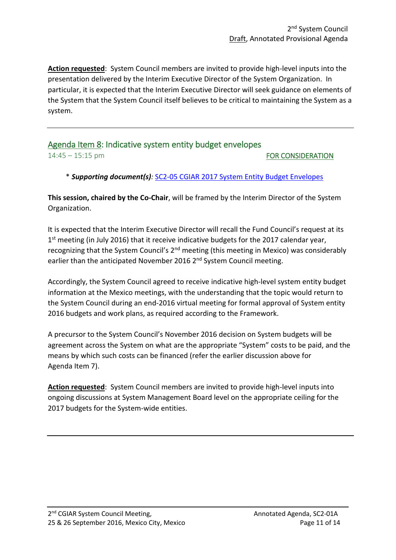**Action requested**: System Council members are invited to provide high-level inputs into the presentation delivered by the Interim Executive Director of the System Organization. In particular, it is expected that the Interim Executive Director will seek guidance on elements of the System that the System Council itself believes to be critical to maintaining the System as a system.

# Agenda Item 8: Indicative system entity budget envelopes 14:45 – 15:15 pm FOR CONSIDERATION

\* *Supporting document(s):* [SC2-05 CGIAR 2017 System Entity Budget Envelopes](http://cgiarweb.s3.amazonaws.com/wp-content/uploads/2016/09/SC2-05_CGIAR_2017-SystemEntityBudgetEnvelopes_AgendaItem8.pdf)

**This session, chaired by the Co-Chair**, will be framed by the Interim Director of the System Organization.

It is expected that the Interim Executive Director will recall the Fund Council's request at its 1<sup>st</sup> meeting (in July 2016) that it receive indicative budgets for the 2017 calendar year, recognizing that the System Council's 2<sup>nd</sup> meeting (this meeting in Mexico) was considerably earlier than the anticipated November 2016 2<sup>nd</sup> System Council meeting.

Accordingly, the System Council agreed to receive indicative high-level system entity budget information at the Mexico meetings, with the understanding that the topic would return to the System Council during an end-2016 virtual meeting for formal approval of System entity 2016 budgets and work plans, as required according to the Framework.

A precursor to the System Council's November 2016 decision on System budgets will be agreement across the System on what are the appropriate "System" costs to be paid, and the means by which such costs can be financed (refer the earlier discussion above for Agenda Item 7).

**Action requested**: System Council members are invited to provide high-level inputs into ongoing discussions at System Management Board level on the appropriate ceiling for the 2017 budgets for the System-wide entities.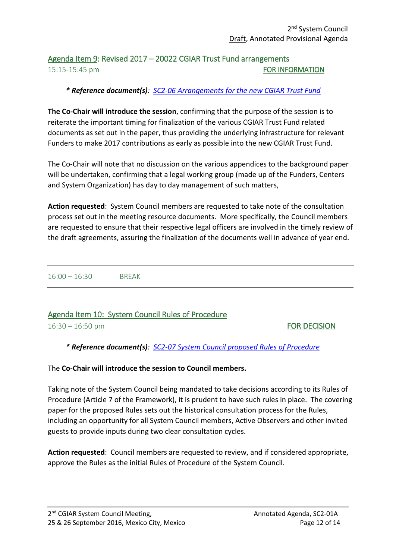# Agenda Item 9: Revised 2017 – 20022 CGIAR Trust Fund arrangements 15:15-15:45 pm FOR INFORMATION

# *\* Reference document(s): [SC2-06 Arrangements for the new CGIAR Trust Fund](http://cgiarweb.s3.amazonaws.com/wp-content/uploads/2016/09/SC2-06_Arrangements-for-new-TrustFund_AgendaItem9.pdf)*

**The Co-Chair will introduce the session**, confirming that the purpose of the session is to reiterate the important timing for finalization of the various CGIAR Trust Fund related documents as set out in the paper, thus providing the underlying infrastructure for relevant Funders to make 2017 contributions as early as possible into the new CGIAR Trust Fund.

The Co-Chair will note that no discussion on the various appendices to the background paper will be undertaken, confirming that a legal working group (made up of the Funders, Centers and System Organization) has day to day management of such matters,

**Action requested**: System Council members are requested to take note of the consultation process set out in the meeting resource documents. More specifically, the Council members are requested to ensure that their respective legal officers are involved in the timely review of the draft agreements, assuring the finalization of the documents well in advance of year end.

16:00 – 16:30 BREAK

# Agenda Item 10: System Council Rules of Procedure

16:30 – 16:50 pm FOR DECISION

*\* Reference document(s): [SC2-07 System Council proposed Rules of Procedure](http://cgiarweb.s3.amazonaws.com/wp-content/uploads/2016/09/SC2-07_SC-RulesofProcedure_ProposedFinal_AgendaItem10.pdf)*

The **Co-Chair will introduce the session to Council members.**

Taking note of the System Council being mandated to take decisions according to its Rules of Procedure (Article 7 of the Framework), it is prudent to have such rules in place. The covering paper for the proposed Rules sets out the historical consultation process for the Rules, including an opportunity for all System Council members, Active Observers and other invited guests to provide inputs during two clear consultation cycles.

**Action requested**: Council members are requested to review, and if considered appropriate, approve the Rules as the initial Rules of Procedure of the System Council.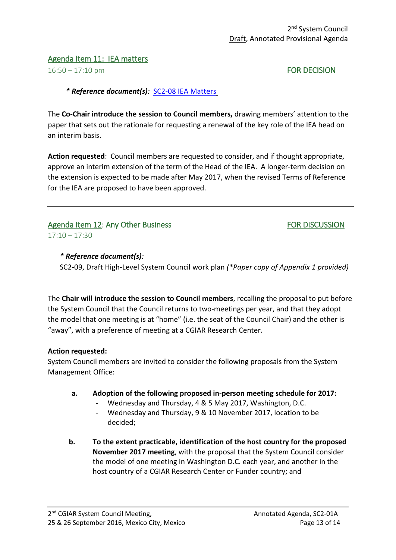### Agenda Item 11: IEA matters

16:50 – 17:10 pm **FOR DECISION** 

*\* Reference document(s):* [SC2-08 IEA Matters](http://cgiarweb.s3.amazonaws.com/wp-content/uploads/2016/09/SC2-08_IEA-matters_Sept20161.pdf)

The **Co-Chair introduce the session to Council members,** drawing members' attention to the paper that sets out the rationale for requesting a renewal of the key role of the IEA head on an interim basis.

**Action requested**: Council members are requested to consider, and if thought appropriate, approve an interim extension of the term of the Head of the IEA. A longer-term decision on the extension is expected to be made after May 2017, when the revised Terms of Reference for the IEA are proposed to have been approved.

## Agenda Item 12: Any Other Business FOR DISCUSSION  $17:10 - 17:30$

*\* Reference document(s):* 

SC2-09, Draft High-Level System Council work plan *(\*Paper copy of Appendix 1 provided)*

The **Chair will introduce the session to Council members**, recalling the proposal to put before the System Council that the Council returns to two-meetings per year, and that they adopt the model that one meeting is at "home" (i.e. the seat of the Council Chair) and the other is "away", with a preference of meeting at a CGIAR Research Center.

### **Action requested:**

System Council members are invited to consider the following proposals from the System Management Office:

### **a. Adoption of the following proposed in-person meeting schedule for 2017:**

- Wednesday and Thursday, 4 & 5 May 2017, Washington, D.C.
- Wednesday and Thursday, 9 & 10 November 2017, location to be decided;
- **b. To the extent practicable, identification of the host country for the proposed November 2017 meeting**, with the proposal that the System Council consider the model of one meeting in Washington D.C. each year, and another in the host country of a CGIAR Research Center or Funder country; and